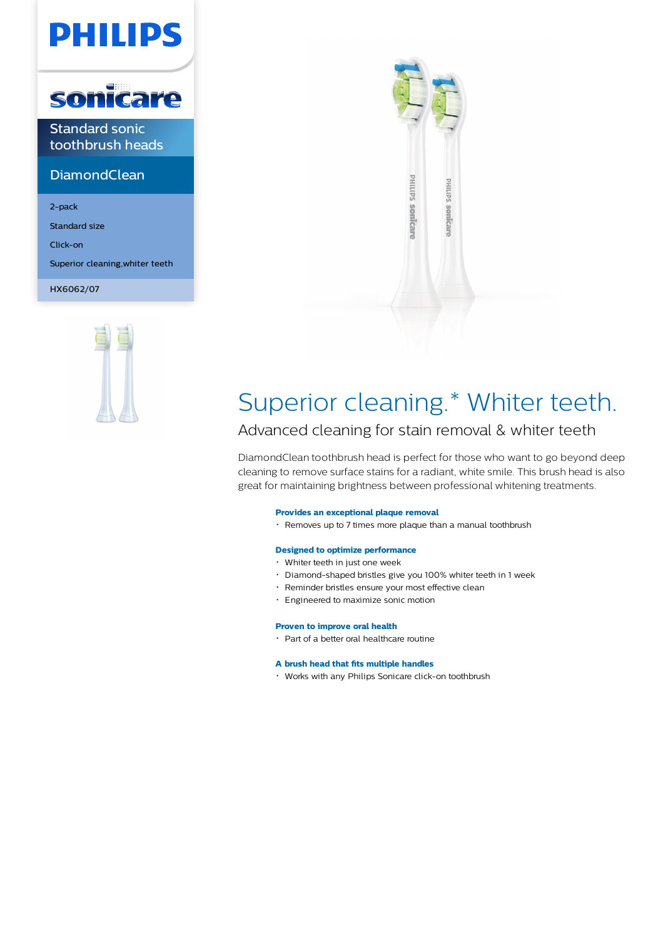# **PHILIPS**



Standard sonic toothbrush heads

# **DiamondClean**

2-pack

Standard size

Click-on

Superior cleaning,whiter teeth

HX6062/07





# Superior cleaning.\* Whiter teeth.

# Advanced cleaning for stain removal & whiter teeth

DiamondClean toothbrush head is perfect for those who want to go beyond deep cleaning to remove surface stains for a radiant, white smile. This brush head is also great for maintaining brightness between professional whitening treatments.

# **Provides an exceptional plaque removal**

Removes up to 7 times more plaque than a manual toothbrush

# **Designed to optimize performance**

- Whiter teeth in just one week
- Diamond-shaped bristles give you 100% whiter teeth in 1 week
- Reminder bristles ensure your most effective clean
- Engineered to maximize sonic motion

# **Proven to improve oral health**

Part of a better oral healthcare routine

# **A brush head that fits multiple handles**

Works with any Philips Sonicare click-on toothbrush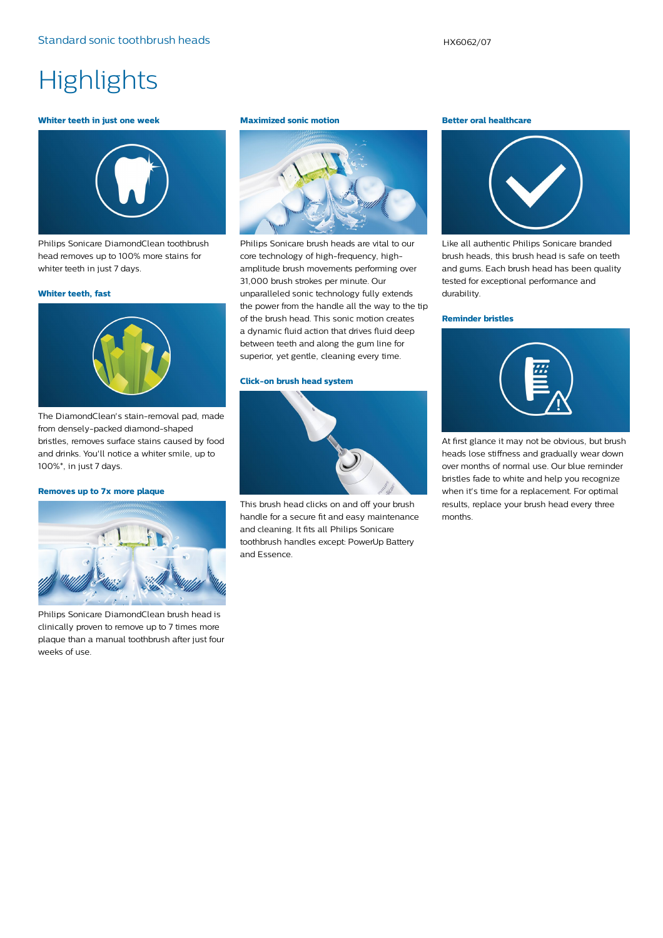# **Highlights**

### **Whiter teeth in just one week**



Philips Sonicare DiamondClean toothbrush head removes up to 100% more stains for whiter teeth in just 7 days.

### **Whiter teeth, fast**



The DiamondClean's stain-removal pad, made from densely-packed diamond-shaped bristles, removes surface stains caused by food and drinks. You'll notice a whiter smile, up to 100%\*, in just 7 days.

## **Removes up to 7x more plaque**



Philips Sonicare DiamondClean brush head is clinically proven to remove up to 7 times more plaque than a manual toothbrush after just four weeks of use.

#### **Maximized sonic motion**



Philips Sonicare brush heads are vital to our core technology of high-frequency, highamplitude brush movements performing over 31,000 brush strokes per minute. Our unparalleled sonic technology fully extends the power from the handle all the way to the tip of the brush head. This sonic motion creates a dynamic fluid action that drives fluid deep between teeth and along the gum line for superior, yet gentle, cleaning every time.

## **Click-on brush head system**



This brush head clicks on and off your brush handle for a secure fit and easy maintenance and cleaning. It fits all Philips Sonicare toothbrush handles except: PowerUp Battery and Essence.

#### **Better oral healthcare**



Like all authentic Philips Sonicare branded brush heads, this brush head is safe on teeth and gums. Each brush head has been quality tested for exceptional performance and durability.

#### **Reminder bristles**



At first glance it may not be obvious, but brush heads lose stiffness and gradually wear down over months of normal use. Our blue reminder bristles fade to white and help you recognize when it's time for a replacement. For optimal results, replace your brush head every three months.